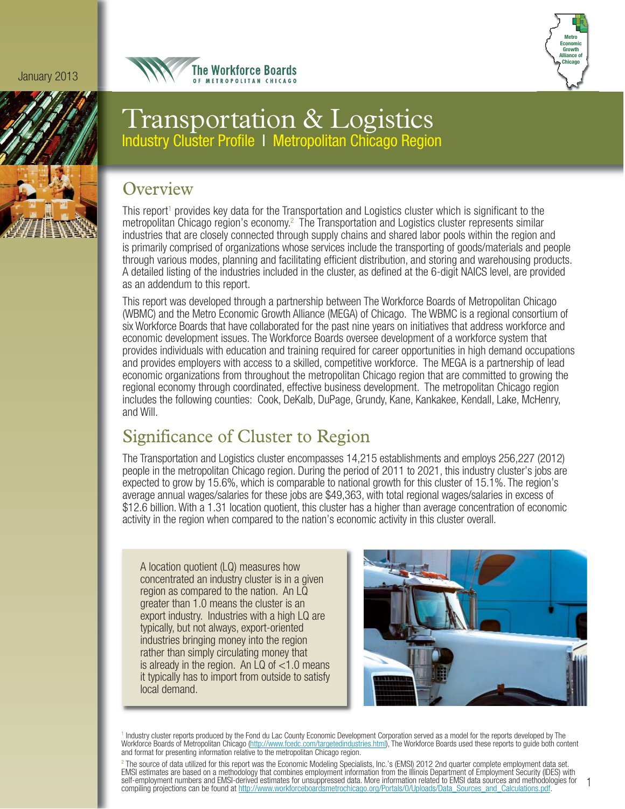

# Transportation & Logistics Industry Cluster Profile I Metropolitan Chicago Region

**The Workforce Boards** OF METROPOLITAN CHICAGO

## **Overview**

This report<sup>1</sup> provides key data for the Transportation and Logistics cluster which is significant to the metropolitan Chicago region's economy.<sup>2</sup> The Transportation and Logistics cluster represents similar industries that are closely connected through supply chains and shared labor pools within the region and is primarily comprised of organizations whose services include the transporting of goods/materials and people through various modes, planning and facilitating efficient distribution, and storing and warehousing products. A detailed listing of the industries included in the cluster, as defined at the 6-digit NAICS level, are provided as an addendum to this report.

This report was developed through a partnership between The Workforce Boards of Metropolitan Chicago (WBMC) and the Metro Economic Growth Alliance (MEGA) of Chicago. The WBMC is a regional consortium of six Workforce Boards that have collaborated for the past nine years on initiatives that address workforce and economic development issues. The Workforce Boards oversee development of a workforce system that provides individuals with education and training required for career opportunities in high demand occupations and provides employers with access to a skilled, competitive workforce. The MEGA is a partnership of lead economic organizations from throughout the metropolitan Chicago region that are committed to growing the regional economy through coordinated, effective business development. The metropolitan Chicago region includes the following counties: Cook, DeKalb, DuPage, Grundy, Kane, Kankakee, Kendall, Lake, McHenry, and Will.

# Significance of Cluster to Region

The Transportation and Logistics cluster encompasses 14,215 establishments and employs 256,227 (2012) people in the metropolitan Chicago region. During the period of 2011 to 2021, this industry cluster's jobs are expected to grow by 15.6%, which is comparable to national growth for this cluster of 15.1%. The region's average annual wages/salaries for these jobs are \$49,363, with total regional wages/salaries in excess of \$12.6 billion. With a 1.31 location quotient, this cluster has a higher than average concentration of economic activity in the region when compared to the nation's economic activity in this cluster overall.

A location quotient (LQ) measures how concentrated an industry cluster is in a given region as compared to the nation. An LQ greater than 1.0 means the cluster is an export industry. Industries with a high LQ are typically, but not always, export-oriented industries bringing money into the region rather than simply circulating money that is already in the region. An LQ of  $<$ 1.0 means it typically has to import from outside to satisfy local demand.



<sup>1</sup> Industry cluster reports produced by the Fond du Lac County Economic Development Corporation served as a model for the reports developed by The Workforce Boards of Metropolitan Chicago (http://www.fcedc.com/targetedindustries.html), The Workforce Boards used these reports to guide both content and format for presenting information relative to the metropolitan Chicago region.

<sup>2</sup> The source of data utilized for this report was the Economic Modeling Specialists, Inc.'s (EMSI) 2012 2nd quarter complete employment data set. EMSI estimates are based on a methodology that combines employment information from the Illinois Department of Employment Security (IDES) with self-employment numbers and EMSI-derived estimates for unsuppressed data. More information related to EMSI data sources and methodologies for compiling projections can be found at http://www.workforceboardsmetrochicago.org/Portals/0/Uploads/Data\_Sources\_and\_Calculations.pdf.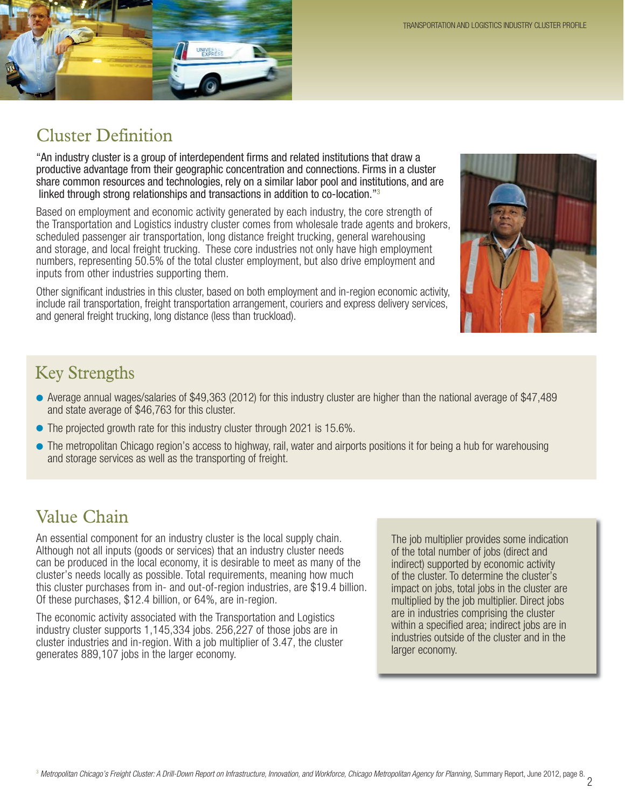

## Cluster Definition

"An industry cluster is a group of interdependent firms and related institutions that draw a productive advantage from their geographic concentration and connections. Firms in a cluster share common resources and technologies, rely on a similar labor pool and institutions, and are linked through strong relationships and transactions in addition to co-location."3

Based on employment and economic activity generated by each industry, the core strength of the Transportation and Logistics industry cluster comes from wholesale trade agents and brokers, scheduled passenger air transportation, long distance freight trucking, general warehousing and storage, and local freight trucking. These core industries not only have high employment numbers, representing 50.5% of the total cluster employment, but also drive employment and inputs from other industries supporting them.

Other significant industries in this cluster, based on both employment and in-region economic activity, include rail transportation, freight transportation arrangement, couriers and express delivery services, and general freight trucking, long distance (less than truckload).



# Key Strengths

- Average annual wages/salaries of \$49,363 (2012) for this industry cluster are higher than the national average of \$47,489 and state average of \$46,763 for this cluster.
- The projected growth rate for this industry cluster through 2021 is 15.6%.
- The metropolitan Chicago region's access to highway, rail, water and airports positions it for being a hub for warehousing and storage services as well as the transporting of freight.

# Value Chain

An essential component for an industry cluster is the local supply chain. Although not all inputs (goods or services) that an industry cluster needs can be produced in the local economy, it is desirable to meet as many of the cluster's needs locally as possible. Total requirements, meaning how much this cluster purchases from in- and out-of-region industries, are \$19.4 billion. Of these purchases, \$12.4 billion, or 64%, are in-region.

The economic activity associated with the Transportation and Logistics industry cluster supports 1,145,334 jobs. 256,227 of those jobs are in cluster industries and in-region. With a job multiplier of 3.47, the cluster generates 889,107 jobs in the larger economy.

The job multiplier provides some indication of the total number of jobs (direct and indirect) supported by economic activity of the cluster. To determine the cluster's impact on jobs, total jobs in the cluster are multiplied by the job multiplier. Direct jobs are in industries comprising the cluster within a specified area; indirect jobs are in industries outside of the cluster and in the larger economy.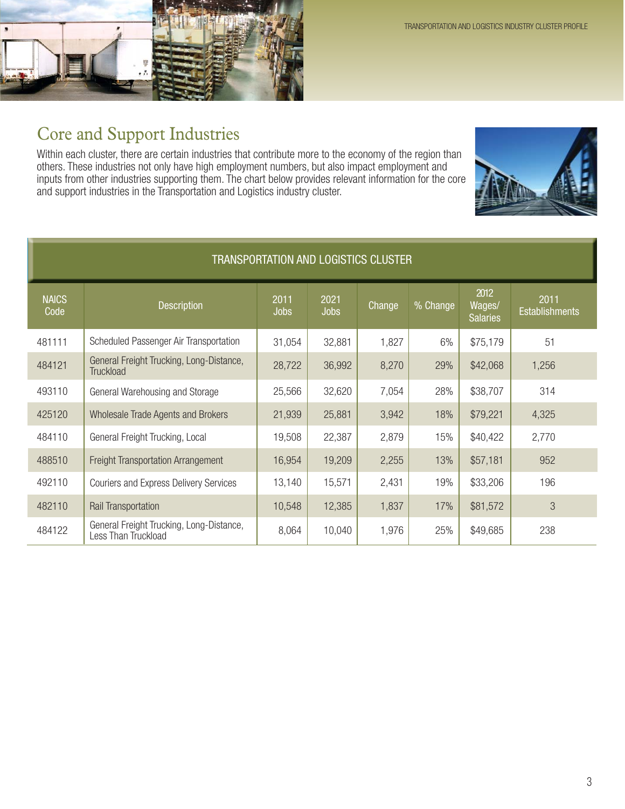



# Core and Support Industries

Within each cluster, there are certain industries that contribute more to the economy of the region than others. These industries not only have high employment numbers, but also impact employment and inputs from other industries supporting them. The chart below provides relevant information for the core and support industries in the Transportation and Logistics industry cluster.



| <b>TRANSPORTATION AND LOGISTICS CLUSTER</b> |                                                                 |                     |                     |        |          |                                   |                               |
|---------------------------------------------|-----------------------------------------------------------------|---------------------|---------------------|--------|----------|-----------------------------------|-------------------------------|
| <b>NAICS</b><br>Code                        | <b>Description</b>                                              | 2011<br><b>Jobs</b> | 2021<br><b>Jobs</b> | Change | % Change | 2012<br>Wages/<br><b>Salaries</b> | 2011<br><b>Establishments</b> |
| 481111                                      | Scheduled Passenger Air Transportation                          | 31,054              | 32,881              | 1,827  | 6%       | \$75,179                          | 51                            |
| 484121                                      | General Freight Trucking, Long-Distance,<br><b>Truckload</b>    | 28,722              | 36,992              | 8,270  | 29%      | \$42,068                          | 1,256                         |
| 493110                                      | General Warehousing and Storage                                 | 25,566              | 32,620              | 7,054  | 28%      | \$38,707                          | 314                           |
| 425120                                      | Wholesale Trade Agents and Brokers                              | 21,939              | 25,881              | 3,942  | 18%      | \$79,221                          | 4,325                         |
| 484110                                      | General Freight Trucking, Local                                 | 19,508              | 22,387              | 2,879  | 15%      | \$40,422                          | 2,770                         |
| 488510                                      | <b>Freight Transportation Arrangement</b>                       | 16,954              | 19,209              | 2,255  | 13%      | \$57,181                          | 952                           |
| 492110                                      | <b>Couriers and Express Delivery Services</b>                   | 13,140              | 15,571              | 2,431  | 19%      | \$33,206                          | 196                           |
| 482110                                      | Rail Transportation                                             | 10,548              | 12,385              | 1,837  | 17%      | \$81,572                          | 3                             |
| 484122                                      | General Freight Trucking, Long-Distance,<br>Less Than Truckload | 8,064               | 10,040              | 1,976  | 25%      | \$49,685                          | 238                           |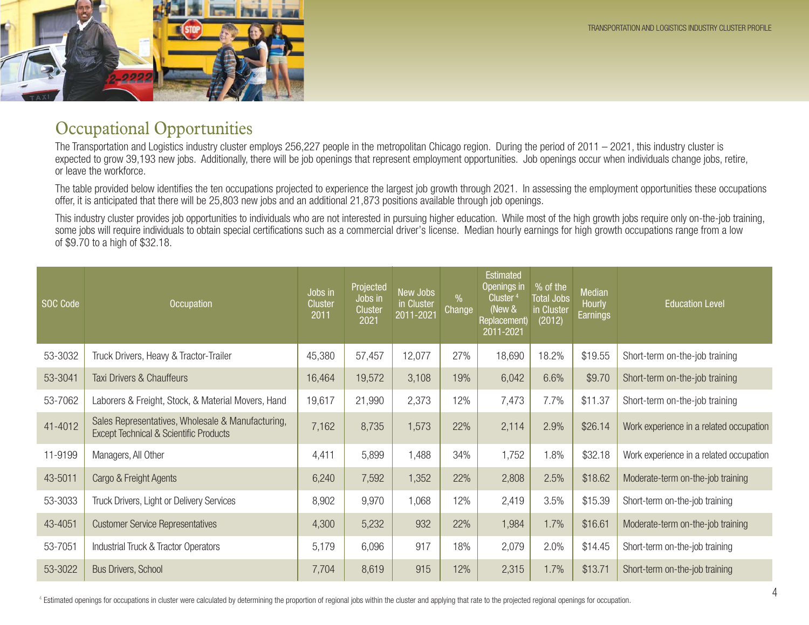

## Occupational Opportunities

The Transportation and Logistics industry cluster employs 256,227 people in the metropolitan Chicago region. During the period of 2011 – 2021, this industry cluster is expected to grow 39,193 new jobs. Additionally, there will be job openings that represent employment opportunities. Job openings occur when individuals change jobs, retire, or leave the workforce.

The table provided below identifies the ten occupations projected to experience the largest job growth through 2021. In assessing the employment opportunities these occupations offer, it is anticipated that there will be 25,803 new jobs and an additional 21,873 positions available through job openings.

This industry cluster provides job opportunities to individuals who are not interested in pursuing higher education. While most of the high growth jobs require only on-the-job training, some jobs will require individuals to obtain special certifications such as a commercial driver's license. Median hourly earnings for high growth occupations range from a low of \$9.70 to a high of \$32.18.

| SOC Code | Occupation                                                                                             | Jobs in<br><b>Cluster</b><br>2011 | Projected<br>Jobs in<br><b>Cluster</b><br>2021 | New Jobs<br>in Cluster<br>2011-2021 | $\%$<br><b>Change</b> | Estimated<br>Openings in<br>Cluster <sup>4</sup><br>(New &<br>Replacement)<br>2011-2021 | $\sqrt{6}$ of the<br><b>Total Jobs</b><br>in Cluster<br>(2012) | <b>Median</b><br>Hourly<br><b>Earnings</b> | <b>Education Level</b>                  |
|----------|--------------------------------------------------------------------------------------------------------|-----------------------------------|------------------------------------------------|-------------------------------------|-----------------------|-----------------------------------------------------------------------------------------|----------------------------------------------------------------|--------------------------------------------|-----------------------------------------|
| 53-3032  | Truck Drivers, Heavy & Tractor-Trailer                                                                 | 45,380                            | 57,457                                         | 12,077                              | 27%                   | 18,690                                                                                  | 18.2%                                                          | \$19.55                                    | Short-term on-the-job training          |
| 53-3041  | <b>Taxi Drivers &amp; Chauffeurs</b>                                                                   | 16,464                            | 19,572                                         | 3,108                               | 19%                   | 6,042                                                                                   | 6.6%                                                           | \$9.70                                     | Short-term on-the-job training          |
| 53-7062  | Laborers & Freight, Stock, & Material Movers, Hand                                                     | 19,617                            | 21,990                                         | 2,373                               | 12%                   | 7,473                                                                                   | 7.7%                                                           | \$11.37                                    | Short-term on-the-job training          |
| 41-4012  | Sales Representatives, Wholesale & Manufacturing,<br><b>Except Technical &amp; Scientific Products</b> | 7,162                             | 8,735                                          | 1,573                               | 22%                   | 2,114                                                                                   | 2.9%                                                           | \$26.14                                    | Work experience in a related occupation |
| 11-9199  | Managers, All Other                                                                                    | 4,411                             | 5,899                                          | 1,488                               | 34%                   | 1,752                                                                                   | 1.8%                                                           | \$32.18                                    | Work experience in a related occupation |
| 43-5011  | Cargo & Freight Agents                                                                                 | 6,240                             | 7,592                                          | 1,352                               | 22%                   | 2,808                                                                                   | 2.5%                                                           | \$18.62                                    | Moderate-term on-the-job training       |
| 53-3033  | Truck Drivers, Light or Delivery Services                                                              | 8,902                             | 9,970                                          | 1,068                               | 12%                   | 2,419                                                                                   | 3.5%                                                           | \$15.39                                    | Short-term on-the-job training          |
| 43-4051  | <b>Customer Service Representatives</b>                                                                | 4,300                             | 5,232                                          | 932                                 | 22%                   | 1,984                                                                                   | 1.7%                                                           | \$16.61                                    | Moderate-term on-the-job training       |
| 53-7051  | <b>Industrial Truck &amp; Tractor Operators</b>                                                        | 5,179                             | 6,096                                          | 917                                 | 18%                   | 2,079                                                                                   | 2.0%                                                           | \$14.45                                    | Short-term on-the-job training          |
| 53-3022  | <b>Bus Drivers, School</b>                                                                             | 7,704                             | 8,619                                          | 915                                 | 12%                   | 2,315                                                                                   | 1.7%                                                           | \$13.71                                    | Short-term on-the-job training          |

<sup>4</sup> Estimated openings for occupations in cluster were calculated by determining the proportion of regional jobs within the cluster and applying that rate to the projected regional openings for occupation.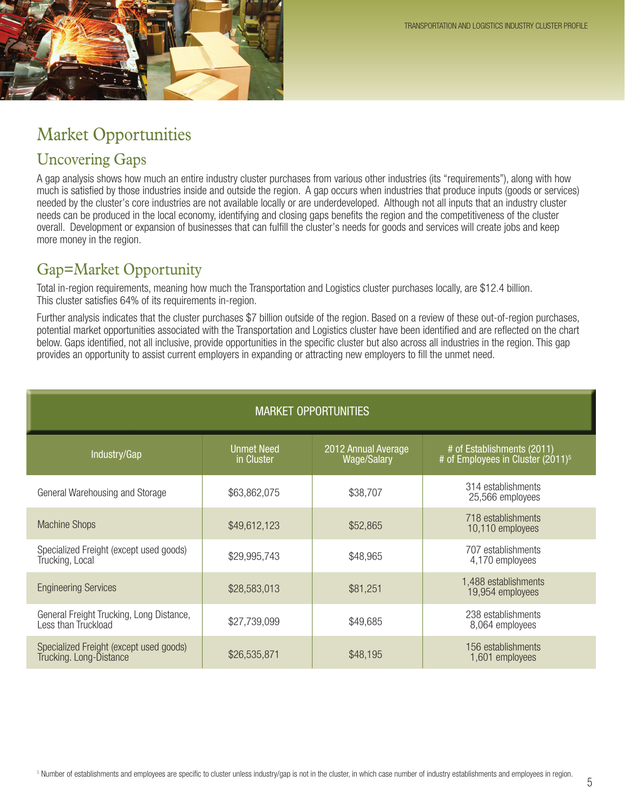

# Market Opportunities

## Uncovering Gaps

A gap analysis shows how much an entire industry cluster purchases from various other industries (its "requirements"), along with how much is satisfied by those industries inside and outside the region. A gap occurs when industries that produce inputs (goods or services) needed by the cluster's core industries are not available locally or are underdeveloped. Although not all inputs that an industry cluster needs can be produced in the local economy, identifying and closing gaps benefits the region and the competitiveness of the cluster overall. Development or expansion of businesses that can fulfill the cluster's needs for goods and services will create jobs and keep more money in the region.

### Gap=Market Opportunity

Total in-region requirements, meaning how much the Transportation and Logistics cluster purchases locally, are \$12.4 billion. This cluster satisfies 64% of its requirements in-region.

Further analysis indicates that the cluster purchases \$7 billion outside of the region. Based on a review of these out-of-region purchases, potential market opportunities associated with the Transportation and Logistics cluster have been identified and are reflected on the chart below. Gaps identified, not all inclusive, provide opportunities in the specific cluster but also across all industries in the region. This gap provides an opportunity to assist current employers in expanding or attracting new employers to fill the unmet need.

| <b>MARKET OPPORTUNITIES</b>                                        |                                 |                                           |                                                                             |  |  |
|--------------------------------------------------------------------|---------------------------------|-------------------------------------------|-----------------------------------------------------------------------------|--|--|
| Industry/Gap                                                       | <b>Unmet Need</b><br>in Cluster | 2012 Annual Average<br><b>Wage/Salary</b> | # of Establishments (2011)<br># of Employees in Cluster (2011) <sup>5</sup> |  |  |
| General Warehousing and Storage                                    | \$63,862,075                    | \$38,707                                  | 314 establishments<br>25,566 employees                                      |  |  |
| <b>Machine Shops</b>                                               | \$49,612,123                    | \$52,865                                  | 718 establishments<br>10,110 employees                                      |  |  |
| Specialized Freight (except used goods)<br>Trucking, Local         | \$29,995,743                    | \$48,965                                  | 707 establishments<br>4,170 employees                                       |  |  |
| <b>Engineering Services</b>                                        | \$28,583,013                    | \$81,251                                  | 1,488 establishments<br>19,954 employees                                    |  |  |
| General Freight Trucking, Long Distance,<br>Less than Truckload    | \$27,739,099                    | \$49,685                                  | 238 establishments<br>8,064 employees                                       |  |  |
| Specialized Freight (except used goods)<br>Trucking. Long-Distance | \$26,535,871                    | \$48,195                                  | 156 establishments<br>1,601 employees                                       |  |  |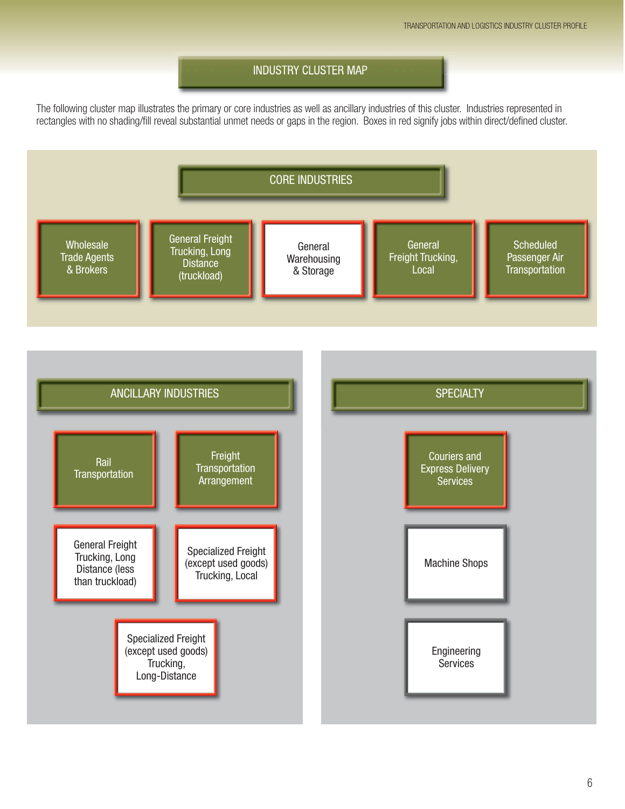#### INDUSTRY CLUSTER MAP

The following cluster map illustrates the primary or core industries as well as ancillary industries of this cluster. Industries represented in rectangles with no shading/fill reveal substantial unmet needs or gaps in the region. Boxes in red signify jobs within direct/defined cluster.



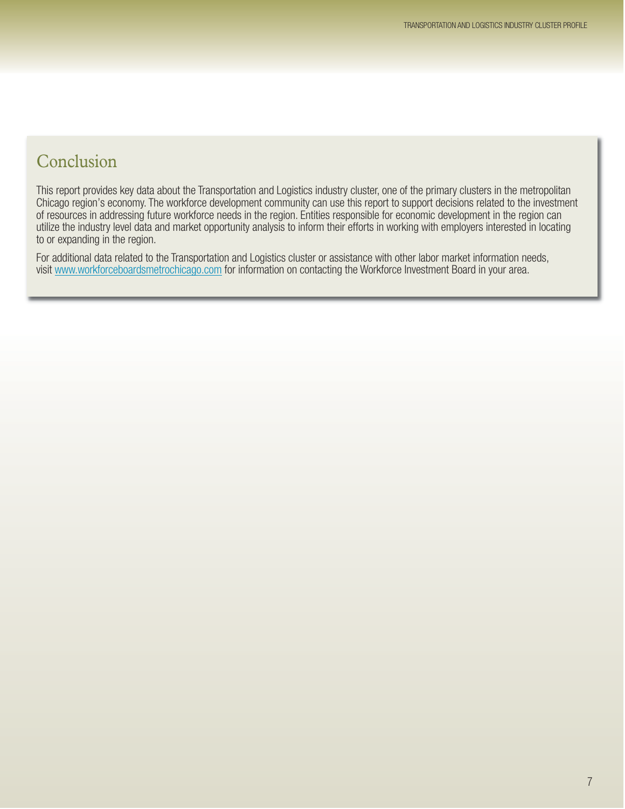## Conclusion

This report provides key data about the Transportation and Logistics industry cluster, one of the primary clusters in the metropolitan Chicago region's economy. The workforce development community can use this report to support decisions related to the investment of resources in addressing future workforce needs in the region. Entities responsible for economic development in the region can utilize the industry level data and market opportunity analysis to inform their efforts in working with employers interested in locating to or expanding in the region.

For additional data related to the Transportation and Logistics cluster or assistance with other labor market information needs, visit www.workforceboardsmetrochicago.com for information on contacting the Workforce Investment Board in your area.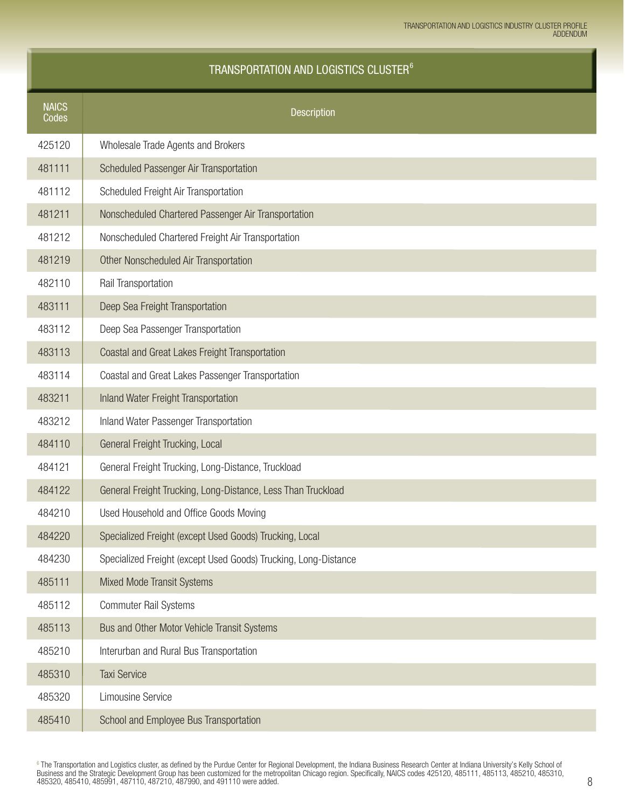### TRANSPORTATION AND LOGISTICS CLUSTER<sup>6</sup>

| <b>NAICS</b><br><b>Codes</b> | <b>Description</b>                                              |
|------------------------------|-----------------------------------------------------------------|
| 425120                       | Wholesale Trade Agents and Brokers                              |
| 481111                       | Scheduled Passenger Air Transportation                          |
| 481112                       | Scheduled Freight Air Transportation                            |
| 481211                       | Nonscheduled Chartered Passenger Air Transportation             |
| 481212                       | Nonscheduled Chartered Freight Air Transportation               |
| 481219                       | Other Nonscheduled Air Transportation                           |
| 482110                       | Rail Transportation                                             |
| 483111                       | Deep Sea Freight Transportation                                 |
| 483112                       | Deep Sea Passenger Transportation                               |
| 483113                       | Coastal and Great Lakes Freight Transportation                  |
| 483114                       | Coastal and Great Lakes Passenger Transportation                |
| 483211                       | <b>Inland Water Freight Transportation</b>                      |
| 483212                       | Inland Water Passenger Transportation                           |
| 484110                       | General Freight Trucking, Local                                 |
| 484121                       | General Freight Trucking, Long-Distance, Truckload              |
| 484122                       | General Freight Trucking, Long-Distance, Less Than Truckload    |
| 484210                       | Used Household and Office Goods Moving                          |
| 484220                       | Specialized Freight (except Used Goods) Trucking, Local         |
| 484230                       | Specialized Freight (except Used Goods) Trucking, Long-Distance |
| 485111                       | <b>Mixed Mode Transit Systems</b>                               |
| 485112                       | <b>Commuter Rail Systems</b>                                    |
| 485113                       | Bus and Other Motor Vehicle Transit Systems                     |
| 485210                       | Interurban and Rural Bus Transportation                         |
| 485310                       | <b>Taxi Service</b>                                             |
| 485320                       | <b>Limousine Service</b>                                        |
| 485410                       | School and Employee Bus Transportation                          |

6 The Transportation and Logistics cluster, as defined by the Purdue Center for Regional Development, the Indiana Business Research Center at Indiana University's Kelly School of Business and the Strategic Development Group has been customized for the metropolitan Chicago region. Specifically, NAICS codes 425120, 485111, 485113, 485210, 485310, 485320, 485410, 485991, 487110, 487210, 487990, and 491110 were added.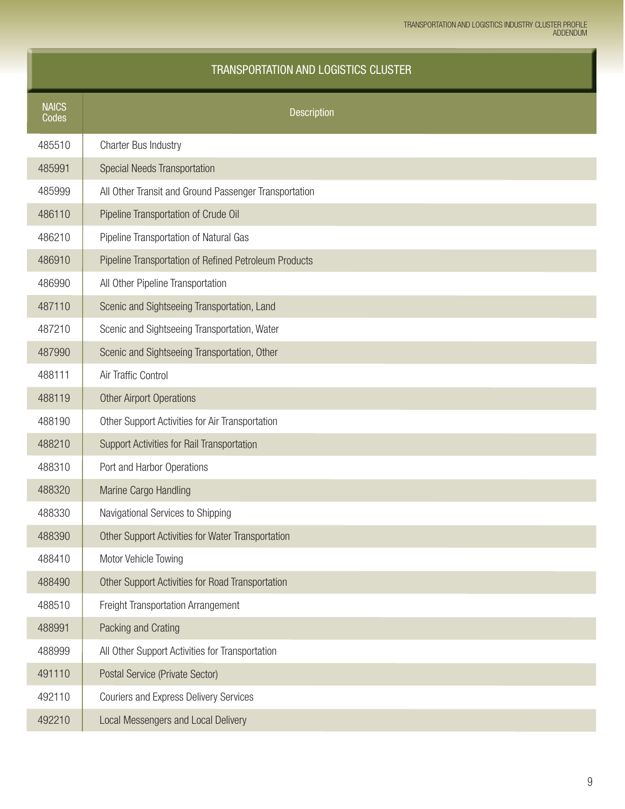### TRANSPORTATION AND LOGISTICS CLUSTER

| <b>NAICS</b><br>Codes | <b>Description</b>                                    |
|-----------------------|-------------------------------------------------------|
| 485510                | Charter Bus Industry                                  |
| 485991                | Special Needs Transportation                          |
| 485999                | All Other Transit and Ground Passenger Transportation |
| 486110                | Pipeline Transportation of Crude Oil                  |
| 486210                | Pipeline Transportation of Natural Gas                |
| 486910                | Pipeline Transportation of Refined Petroleum Products |
| 486990                | All Other Pipeline Transportation                     |
| 487110                | Scenic and Sightseeing Transportation, Land           |
| 487210                | Scenic and Sightseeing Transportation, Water          |
| 487990                | Scenic and Sightseeing Transportation, Other          |
| 488111                | Air Traffic Control                                   |
| 488119                | <b>Other Airport Operations</b>                       |
| 488190                | Other Support Activities for Air Transportation       |
| 488210                | <b>Support Activities for Rail Transportation</b>     |
| 488310                | Port and Harbor Operations                            |
| 488320                | Marine Cargo Handling                                 |
| 488330                | Navigational Services to Shipping                     |
| 488390                | Other Support Activities for Water Transportation     |
| 488410                | Motor Vehicle Towing                                  |
| 488490                | Other Support Activities for Road Transportation      |
| 488510                | Freight Transportation Arrangement                    |
| 488991                | Packing and Crating                                   |
| 488999                | All Other Support Activities for Transportation       |
| 491110                | Postal Service (Private Sector)                       |
| 492110                | <b>Couriers and Express Delivery Services</b>         |
| 492210                | <b>Local Messengers and Local Delivery</b>            |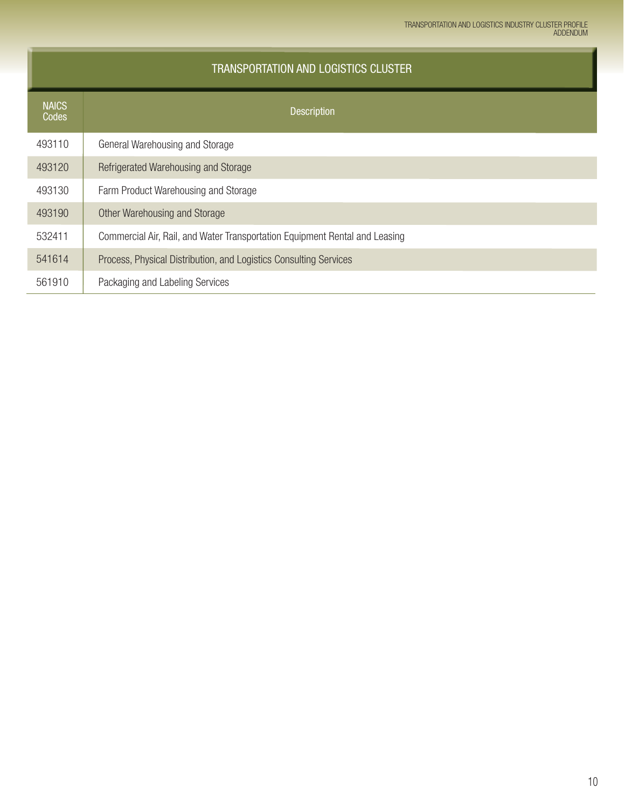| <b>TRANSPORTATION AND LOGISTICS CLUSTER</b> |                                                                             |  |  |  |
|---------------------------------------------|-----------------------------------------------------------------------------|--|--|--|
| <b>NAICS</b><br><b>Codes</b>                | <b>Description</b>                                                          |  |  |  |
| 493110                                      | General Warehousing and Storage                                             |  |  |  |
| 493120                                      | Refrigerated Warehousing and Storage                                        |  |  |  |
| 493130                                      | Farm Product Warehousing and Storage                                        |  |  |  |
| 493190                                      | Other Warehousing and Storage                                               |  |  |  |
| 532411                                      | Commercial Air, Rail, and Water Transportation Equipment Rental and Leasing |  |  |  |
| 541614                                      | Process, Physical Distribution, and Logistics Consulting Services           |  |  |  |
| 561910                                      | Packaging and Labeling Services                                             |  |  |  |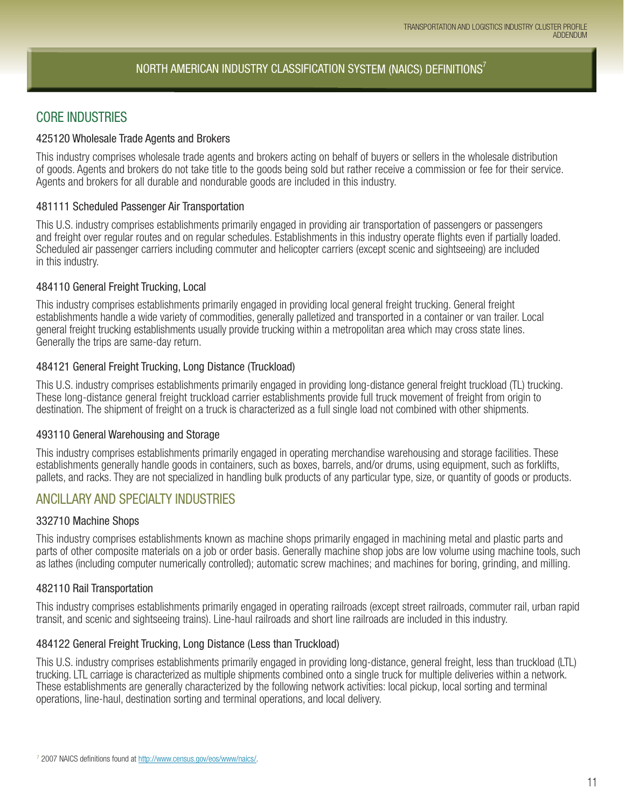### NORTH AMERICAN INDUSTRY CLASSIFICATION SYSTEM (NAICS) DEFINITIONS<sup>7</sup>

### CORE INDUSTRIES

#### 425120 Wholesale Trade Agents and Brokers

This industry comprises wholesale trade agents and brokers acting on behalf of buyers or sellers in the wholesale distribution of goods. Agents and brokers do not take title to the goods being sold but rather receive a commission or fee for their service. Agents and brokers for all durable and nondurable goods are included in this industry.

#### 481111 Scheduled Passenger Air Transportation

This U.S. industry comprises establishments primarily engaged in providing air transportation of passengers or passengers and freight over regular routes and on regular schedules. Establishments in this industry operate flights even if partially loaded. Scheduled air passenger carriers including commuter and helicopter carriers (except scenic and sightseeing) are included in this industry.

#### 484110 General Freight Trucking, Local

This industry comprises establishments primarily engaged in providing local general freight trucking. General freight establishments handle a wide variety of commodities, generally palletized and transported in a container or van trailer. Local general freight trucking establishments usually provide trucking within a metropolitan area which may cross state lines. Generally the trips are same-day return.

#### 484121 General Freight Trucking, Long Distance (Truckload)

This U.S. industry comprises establishments primarily engaged in providing long-distance general freight truckload (TL) trucking. These long-distance general freight truckload carrier establishments provide full truck movement of freight from origin to destination. The shipment of freight on a truck is characterized as a full single load not combined with other shipments.

#### 493110 General Warehousing and Storage

This industry comprises establishments primarily engaged in operating merchandise warehousing and storage facilities. These establishments generally handle goods in containers, such as boxes, barrels, and/or drums, using equipment, such as forklifts, pallets, and racks. They are not specialized in handling bulk products of any particular type, size, or quantity of goods or products.

### ANCILLARY AND SPECIALTY INDUSTRIES

#### 332710 Machine Shops

This industry comprises establishments known as machine shops primarily engaged in machining metal and plastic parts and parts of other composite materials on a job or order basis. Generally machine shop jobs are low volume using machine tools, such as lathes (including computer numerically controlled); automatic screw machines; and machines for boring, grinding, and milling.

#### 482110 Rail Transportation

This industry comprises establishments primarily engaged in operating railroads (except street railroads, commuter rail, urban rapid transit, and scenic and sightseeing trains). Line-haul railroads and short line railroads are included in this industry.

#### 484122 General Freight Trucking, Long Distance (Less than Truckload)

This U.S. industry comprises establishments primarily engaged in providing long-distance, general freight, less than truckload (LTL) trucking. LTL carriage is characterized as multiple shipments combined onto a single truck for multiple deliveries within a network. These establishments are generally characterized by the following network activities: local pickup, local sorting and terminal operations, line-haul, destination sorting and terminal operations, and local delivery.